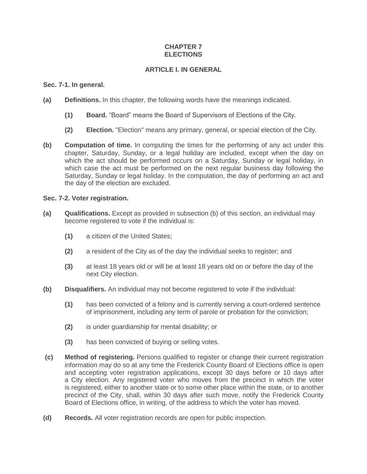# **CHAPTER 7 ELECTIONS**

# **ARTICLE I. IN GENERAL**

### **Sec. 7-1. In general.**

- **(a) Definitions.** In this chapter, the following words have the meanings indicated.
	- **(1) Board.** "Board" means the Board of Supervisors of Elections of the City.
	- **(2) Election.** "Election" means any primary, general, or special election of the City.
- **(b) Computation of time.** In computing the times for the performing of any act under this chapter, Saturday, Sunday, or a legal holiday are included, except when the day on which the act should be performed occurs on a Saturday, Sunday or legal holiday, in which case the act must be performed on the next regular business day following the Saturday, Sunday or legal holiday. In the computation, the day of performing an act and the day of the election are excluded.

#### **Sec. 7-2. Voter registration.**

- **(a) Qualifications.** Except as provided in subsection (b) of this section, an individual may become registered to vote if the individual is:
	- **(1)** a citizen of the United States;
	- **(2)** a resident of the City as of the day the individual seeks to register; and
	- **(3)** at least 18 years old or will be at least 18 years old on or before the day of the next City election.
- **(b) Disqualifiers.** An individual may not become registered to vote if the individual:
	- **(1)** has been convicted of a felony and is currently serving a court-ordered sentence of imprisonment, including any term of parole or probation for the conviction;
	- **(2)** is under guardianship for mental disability; or
	- **(3)** has been convicted of buying or selling votes.
- **(c) Method of registering.** Persons qualified to register or change their current registration information may do so at any time the Frederick County Board of Elections office is open and accepting voter registration applications, except 30 days before or 10 days after a City election. Any registered voter who moves from the precinct in which the voter is registered, either to another state or to some other place within the state, or to another precinct of the City, shall, within 30 days after such move, notify the Frederick County Board of Elections office, in writing, of the address to which the voter has moved.
- **(d) Records.** All voter registration records are open for public inspection.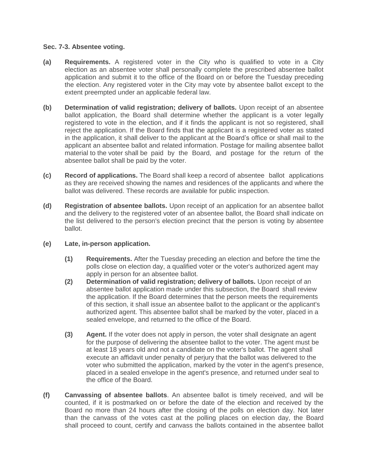# **Sec. 7-3. Absentee voting.**

- **(a) Requirements.** A registered voter in the City who is qualified to vote in a City election as an absentee voter shall personally complete the prescribed absentee ballot application and submit it to the office of the Board on or before the Tuesday preceding the election. Any registered voter in the City may vote by absentee ballot except to the extent preempted under an applicable federal law.
- **(b) Determination of valid registration; delivery of ballots.** Upon receipt of an absentee ballot application, the Board shall determine whether the applicant is a voter legally registered to vote in the election, and if it finds the applicant is not so registered, shall reject the application. If the Board finds that the applicant is a registered voter as stated in the application, it shall deliver to the applicant at the Board's office or shall mail to the applicant an absentee ballot and related information. Postage for mailing absentee ballot material to the voter shall be paid by the Board, and postage for the return of the absentee ballot shall be paid by the voter.
- **(c) Record of applications.** The Board shall keep a record of absentee ballot applications as they are received showing the names and residences of the applicants and where the ballot was delivered. These records are available for public inspection.
- **(d) Registration of absentee ballots.** Upon receipt of an application for an absentee ballot and the delivery to the registered voter of an absentee ballot, the Board shall indicate on the list delivered to the person's election precinct that the person is voting by absentee ballot.
- **(e) Late, in-person application.** 
	- **(1) Requirements.** After the Tuesday preceding an election and before the time the polls close on election day, a qualified voter or the voter's authorized agent may apply in person for an absentee ballot.
	- **(2) Determination of valid registration; delivery of ballots.** Upon receipt of an absentee ballot application made under this subsection, the Board shall review the application. If the Board determines that the person meets the requirements of this section, it shall issue an absentee ballot to the applicant or the applicant's authorized agent. This absentee ballot shall be marked by the voter, placed in a sealed envelope, and returned to the office of the Board.
	- **(3) Agent.** If the voter does not apply in person, the voter shall designate an agent for the purpose of delivering the absentee ballot to the voter. The agent must be at least 18 years old and not a candidate on the voter's ballot. The agent shall execute an affidavit under penalty of perjury that the ballot was delivered to the voter who submitted the application, marked by the voter in the agent's presence, placed in a sealed envelope in the agent's presence, and returned under seal to the office of the Board.
- **(f) Canvassing of absentee ballots**. An absentee ballot is timely received, and will be counted, if it is postmarked on or before the date of the election and received by the Board no more than 24 hours after the closing of the polls on election day. Not later than the canvass of the votes cast at the polling places on election day, the Board shall proceed to count, certify and canvass the ballots contained in the absentee ballot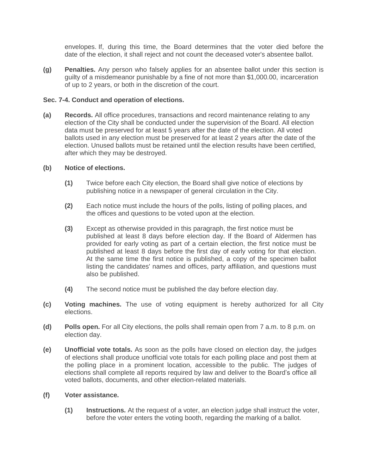envelopes. If, during this time, the Board determines that the voter died before the date of the election, it shall reject and not count the deceased voter's absentee ballot.

**(g) Penalties.** Any person who falsely applies for an absentee ballot under this section is guilty of a misdemeanor punishable by a fine of not more than \$1,000.00, incarceration of up to 2 years, or both in the discretion of the court.

#### **Sec. 7-4. Conduct and operation of elections.**

**(a) Records.** All office procedures, transactions and record maintenance relating to any election of the City shall be conducted under the supervision of the Board. All election data must be preserved for at least 5 years after the date of the election. All voted ballots used in any election must be preserved for at least 2 years after the date of the election. Unused ballots must be retained until the election results have been certified, after which they may be destroyed.

#### **(b) Notice of elections.**

- **(1)** Twice before each City election, the Board shall give notice of elections by publishing notice in a newspaper of general circulation in the City.
- **(2)** Each notice must include the hours of the polls, listing of polling places, and the offices and questions to be voted upon at the election.
- **(3)** Except as otherwise provided in this paragraph, the first notice must be published at least 8 days before election day. If the Board of Aldermen has provided for early voting as part of a certain election, the first notice must be published at least 8 days before the first day of early voting for that election. At the same time the first notice is published, a copy of the specimen ballot listing the candidates' names and offices, party affiliation, and questions must also be published.
- **(4)** The second notice must be published the day before election day.
- **(c) Voting machines.** The use of voting equipment is hereby authorized for all City elections.
- **(d) Polls open.** For all City elections, the polls shall remain open from 7 a.m. to 8 p.m. on election day.
- **(e) Unofficial vote totals.** As soon as the polls have closed on election day, the judges of elections shall produce unofficial vote totals for each polling place and post them at the polling place in a prominent location, accessible to the public. The judges of elections shall complete all reports required by law and deliver to the Board's office all voted ballots, documents, and other election-related materials.

# **(f) Voter assistance.**

**(1) Instructions.** At the request of a voter, an election judge shall instruct the voter, before the voter enters the voting booth, regarding the marking of a ballot.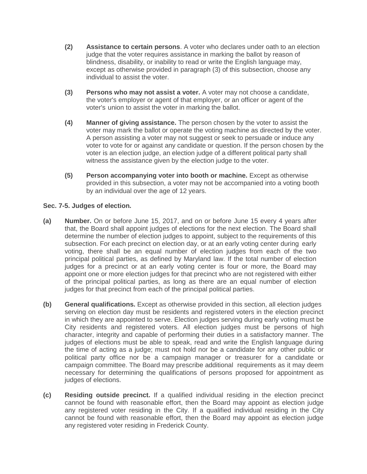- **(2) Assistance to certain persons**. A voter who declares under oath to an election judge that the voter requires assistance in marking the ballot by reason of blindness, disability, or inability to read or write the English language may, except as otherwise provided in paragraph (3) of this subsection, choose any individual to assist the voter.
- **(3) Persons who may not assist a voter.** A voter may not choose a candidate, the voter's employer or agent of that employer, or an officer or agent of the voter's union to assist the voter in marking the ballot.
- **(4) Manner of giving assistance.** The person chosen by the voter to assist the voter may mark the ballot or operate the voting machine as directed by the voter. A person assisting a voter may not suggest or seek to persuade or induce any voter to vote for or against any candidate or question. If the person chosen by the voter is an election judge, an election judge of a different political party shall witness the assistance given by the election judge to the voter.
- **(5) Person accompanying voter into booth or machine.** Except as otherwise provided in this subsection, a voter may not be accompanied into a voting booth by an individual over the age of 12 years.

# **Sec. 7-5. Judges of election.**

- **(a) Number.** On or before June 15, 2017, and on or before June 15 every 4 years after that, the Board shall appoint judges of elections for the next election. The Board shall determine the number of election judges to appoint, subject to the requirements of this subsection. For each precinct on election day, or at an early voting center during early voting, there shall be an equal number of election judges from each of the two principal political parties, as defined by Maryland law. If the total number of election judges for a precinct or at an early voting center is four or more, the Board may appoint one or more election judges for that precinct who are not registered with either of the principal political parties, as long as there are an equal number of election judges for that precinct from each of the principal political parties.
- **(b) General qualifications.** Except as otherwise provided in this section, all election judges serving on election day must be residents and registered voters in the election precinct in which they are appointed to serve. Election judges serving during early voting must be City residents and registered voters. All election judges must be persons of high character, integrity and capable of performing their duties in a satisfactory manner. The judges of elections must be able to speak, read and write the English language during the time of acting as a judge; must not hold nor be a candidate for any other public or political party office nor be a campaign manager or treasurer for a candidate or campaign committee. The Board may prescribe additional requirements as it may deem necessary for determining the qualifications of persons proposed for appointment as judges of elections.
- **(c) Residing outside precinct.** If a qualified individual residing in the election precinct cannot be found with reasonable effort, then the Board may appoint as election judge any registered voter residing in the City. If a qualified individual residing in the City cannot be found with reasonable effort, then the Board may appoint as election judge any registered voter residing in Frederick County.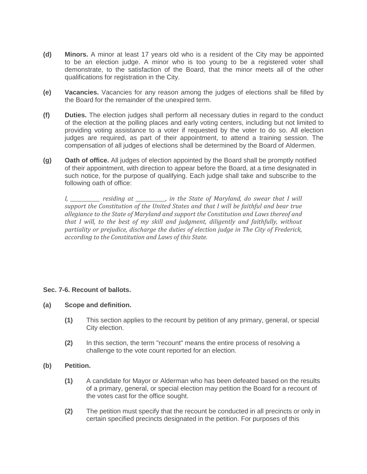- **(d) Minors.** A minor at least 17 years old who is a resident of the City may be appointed to be an election judge. A minor who is too young to be a registered voter shall demonstrate, to the satisfaction of the Board, that the minor meets all of the other qualifications for registration in the City.
- **(e) Vacancies.** Vacancies for any reason among the judges of elections shall be filled by the Board for the remainder of the unexpired term.
- **(f) Duties.** The election judges shall perform all necessary duties in regard to the conduct of the election at the polling places and early voting centers, including but not limited to providing voting assistance to a voter if requested by the voter to do so. All election judges are required, as part of their appointment, to attend a training session. The compensation of all judges of elections shall be determined by the Board of Aldermen.
- **(g) Oath of office.** All judges of election appointed by the Board shall be promptly notified of their appointment, with direction to appear before the Board, at a time designated in such notice, for the purpose of qualifying. Each judge shall take and subscribe to the following oath of office:

*I, \_\_\_\_\_\_\_\_\_\_\_\_ residing at \_\_\_\_\_\_\_\_\_\_\_\_, in the State of Maryland, do swear that I will support the Constitution of the United States and that I will be faithful and bear true allegiance to the State of Maryland and support the Constitution and Laws thereof and that I will, to the best of my skill and judgment, diligently and faithfully, without partiality or prejudice, discharge the duties of election judge in The City of Frederick, according to the Constitution and Laws of this State.*

# **Sec. 7-6. Recount of ballots.**

#### **(a) Scope and definition.**

- **(1)** This section applies to the recount by petition of any primary, general, or special City election.
- **(2)** In this section, the term "recount" means the entire process of resolving a challenge to the vote count reported for an election.

#### **(b) Petition.**

- **(1)** A candidate for Mayor or Alderman who has been defeated based on the results of a primary, general, or special election may petition the Board for a recount of the votes cast for the office sought.
- **(2)** The petition must specify that the recount be conducted in all precincts or only in certain specified precincts designated in the petition. For purposes of this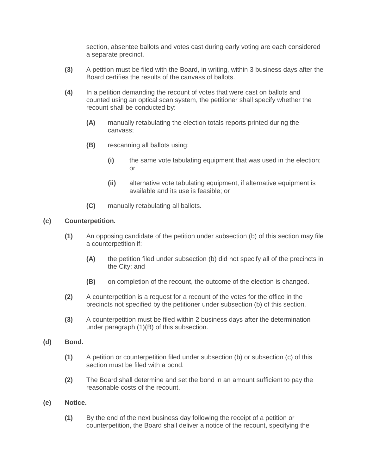section, absentee ballots and votes cast during early voting are each considered a separate precinct.

- **(3)** A petition must be filed with the Board, in writing, within 3 business days after the Board certifies the results of the canvass of ballots.
- **(4)** In a petition demanding the recount of votes that were cast on ballots and counted using an optical scan system, the petitioner shall specify whether the recount shall be conducted by:
	- **(A)** manually retabulating the election totals reports printed during the canvass;
	- **(B)** rescanning all ballots using:
		- **(i)** the same vote tabulating equipment that was used in the election; or
		- **(ii)** alternative vote tabulating equipment, if alternative equipment is available and its use is feasible; or
	- **(C)** manually retabulating all ballots.

#### **(c) Counterpetition.**

- **(1)** An opposing candidate of the petition under subsection (b) of this section may file a counterpetition if:
	- **(A)** the petition filed under subsection (b) did not specify all of the precincts in the City; and
	- **(B)** on completion of the recount, the outcome of the election is changed.
- **(2)** A counterpetition is a request for a recount of the votes for the office in the precincts not specified by the petitioner under subsection (b) of this section.
- **(3)** A counterpetition must be filed within 2 business days after the determination under paragraph (1)(B) of this subsection.
- **(d) Bond.**
	- **(1)** A petition or counterpetition filed under subsection (b) or subsection (c) of this section must be filed with a bond.
	- **(2)** The Board shall determine and set the bond in an amount sufficient to pay the reasonable costs of the recount.
- **(e) Notice.**
	- **(1)** By the end of the next business day following the receipt of a petition or counterpetition, the Board shall deliver a notice of the recount, specifying the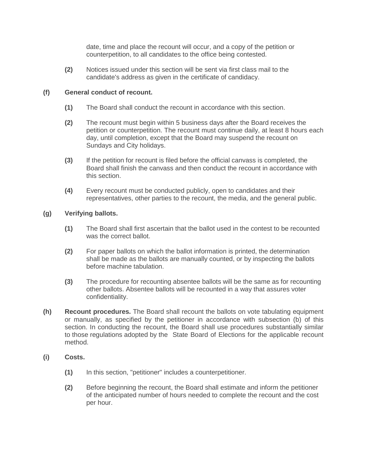date, time and place the recount will occur, and a copy of the petition or counterpetition, to all candidates to the office being contested.

**(2)** Notices issued under this section will be sent via first class mail to the candidate's address as given in the certificate of candidacy.

# **(f) General conduct of recount.**

- **(1)** The Board shall conduct the recount in accordance with this section.
- **(2)** The recount must begin within 5 business days after the Board receives the petition or counterpetition. The recount must continue daily, at least 8 hours each day, until completion, except that the Board may suspend the recount on Sundays and City holidays.
- **(3)** If the petition for recount is filed before the official canvass is completed, the Board shall finish the canvass and then conduct the recount in accordance with this section.
- **(4)** Every recount must be conducted publicly, open to candidates and their representatives, other parties to the recount, the media, and the general public.

# **(g) Verifying ballots.**

- **(1)** The Board shall first ascertain that the ballot used in the contest to be recounted was the correct ballot.
- **(2)** For paper ballots on which the ballot information is printed, the determination shall be made as the ballots are manually counted, or by inspecting the ballots before machine tabulation.
- **(3)** The procedure for recounting absentee ballots will be the same as for recounting other ballots. Absentee ballots will be recounted in a way that assures voter confidentiality.
- **(h) Recount procedures.** The Board shall recount the ballots on vote tabulating equipment or manually, as specified by the petitioner in accordance with subsection (b) of this section. In conducting the recount, the Board shall use procedures substantially similar to those regulations adopted by the State Board of Elections for the applicable recount method.
- **(i) Costs.**
	- **(1)** In this section, "petitioner" includes a counterpetitioner.
	- **(2)** Before beginning the recount, the Board shall estimate and inform the petitioner of the anticipated number of hours needed to complete the recount and the cost per hour.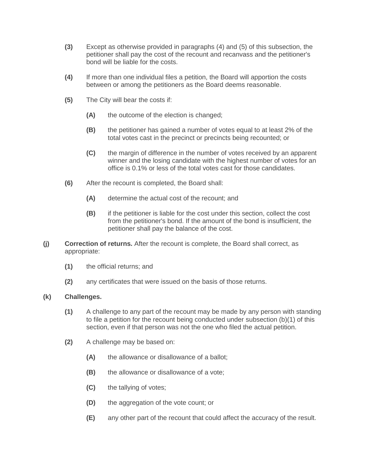- **(3)** Except as otherwise provided in paragraphs (4) and (5) of this subsection, the petitioner shall pay the cost of the recount and recanvass and the petitioner's bond will be liable for the costs.
- **(4)** If more than one individual files a petition, the Board will apportion the costs between or among the petitioners as the Board deems reasonable.
- **(5)** The City will bear the costs if:
	- **(A)** the outcome of the election is changed;
	- **(B)** the petitioner has gained a number of votes equal to at least 2% of the total votes cast in the precinct or precincts being recounted; or
	- **(C)** the margin of difference in the number of votes received by an apparent winner and the losing candidate with the highest number of votes for an office is 0.1% or less of the total votes cast for those candidates.
- **(6)** After the recount is completed, the Board shall:
	- **(A)** determine the actual cost of the recount; and
	- **(B)** if the petitioner is liable for the cost under this section, collect the cost from the petitioner's bond. If the amount of the bond is insufficient, the petitioner shall pay the balance of the cost.
- **(j) Correction of returns.** After the recount is complete, the Board shall correct, as appropriate:
	- **(1)** the official returns; and
	- **(2)** any certificates that were issued on the basis of those returns.

# **(k) Challenges.**

- **(1)** A challenge to any part of the recount may be made by any person with standing to file a petition for the recount being conducted under subsection (b)(1) of this section, even if that person was not the one who filed the actual petition.
- **(2)** A challenge may be based on:
	- **(A)** the allowance or disallowance of a ballot;
	- **(B)** the allowance or disallowance of a vote;
	- **(C)** the tallying of votes;
	- **(D)** the aggregation of the vote count; or
	- **(E)** any other part of the recount that could affect the accuracy of the result.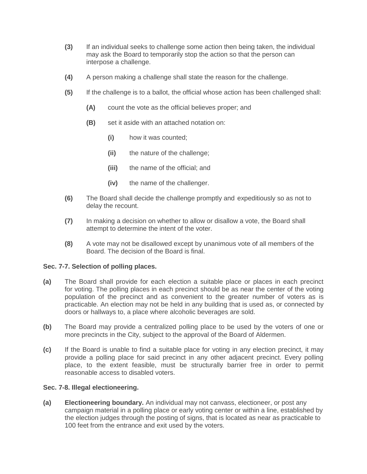- **(3)** If an individual seeks to challenge some action then being taken, the individual may ask the Board to temporarily stop the action so that the person can interpose a challenge.
- **(4)** A person making a challenge shall state the reason for the challenge.
- **(5)** If the challenge is to a ballot, the official whose action has been challenged shall:
	- **(A)** count the vote as the official believes proper; and
	- **(B)** set it aside with an attached notation on:
		- **(i)** how it was counted;
		- **(ii)** the nature of the challenge;
		- **(iii)** the name of the official; and
		- **(iv)** the name of the challenger.
- **(6)** The Board shall decide the challenge promptly and expeditiously so as not to delay the recount.
- **(7)** In making a decision on whether to allow or disallow a vote, the Board shall attempt to determine the intent of the voter.
- **(8)** A vote may not be disallowed except by unanimous vote of all members of the Board. The decision of the Board is final.

# **Sec. 7-7. Selection of polling places.**

- **(a)** The Board shall provide for each election a suitable place or places in each precinct for voting. The polling places in each precinct should be as near the center of the voting population of the precinct and as convenient to the greater number of voters as is practicable. An election may not be held in any building that is used as, or connected by doors or hallways to, a place where alcoholic beverages are sold.
- **(b)** The Board may provide a centralized polling place to be used by the voters of one or more precincts in the City, subject to the approval of the Board of Aldermen.
- **(c)** If the Board is unable to find a suitable place for voting in any election precinct, it may provide a polling place for said precinct in any other adjacent precinct. Every polling place, to the extent feasible, must be structurally barrier free in order to permit reasonable access to disabled voters.

# **Sec. 7-8. Illegal electioneering.**

**(a) Electioneering boundary.** An individual may not canvass, electioneer, or post any campaign material in a polling place or early voting center or within a line, established by the election judges through the posting of signs, that is located as near as practicable to 100 feet from the entrance and exit used by the voters.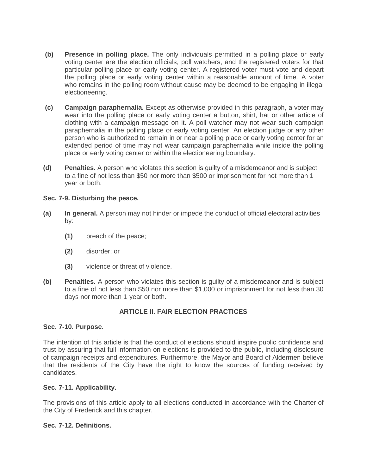- **(b) Presence in polling place.** The only individuals permitted in a polling place or early voting center are the election officials, poll watchers, and the registered voters for that particular polling place or early voting center. A registered voter must vote and depart the polling place or early voting center within a reasonable amount of time. A voter who remains in the polling room without cause may be deemed to be engaging in illegal electioneering.
- **(c) Campaign paraphernalia.** Except as otherwise provided in this paragraph, a voter may wear into the polling place or early voting center a button, shirt, hat or other article of clothing with a campaign message on it. A poll watcher may not wear such campaign paraphernalia in the polling place or early voting center. An election judge or any other person who is authorized to remain in or near a polling place or early voting center for an extended period of time may not wear campaign paraphernalia while inside the polling place or early voting center or within the electioneering boundary.
- **(d) Penalties.** A person who violates this section is guilty of a misdemeanor and is subject to a fine of not less than \$50 nor more than \$500 or imprisonment for not more than 1 year or both.

#### **Sec. 7-9. Disturbing the peace.**

- **(a) In general.** A person may not hinder or impede the conduct of official electoral activities by:
	- **(1)** breach of the peace;
	- **(2)** disorder; or
	- **(3)** violence or threat of violence.
- **(b) Penalties.** A person who violates this section is guilty of a misdemeanor and is subject to a fine of not less than \$50 nor more than \$1,000 or imprisonment for not less than 30 days nor more than 1 year or both.

# **ARTICLE II. FAIR ELECTION PRACTICES**

# **Sec. 7-10. Purpose.**

The intention of this article is that the conduct of elections should inspire public confidence and trust by assuring that full information on elections is provided to the public, including disclosure of campaign receipts and expenditures. Furthermore, the Mayor and Board of Aldermen believe that the residents of the City have the right to know the sources of funding received by candidates.

# **Sec. 7-11. Applicability.**

The provisions of this article apply to all elections conducted in accordance with the Charter of the City of Frederick and this chapter.

# **Sec. 7-12. Definitions.**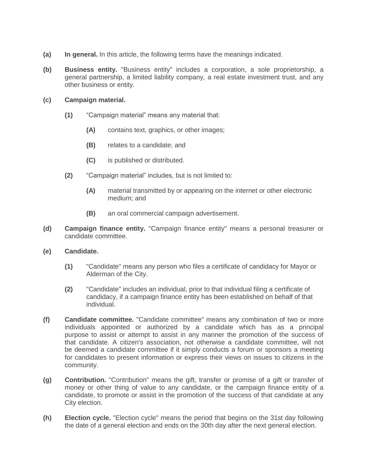- **(a) In general.** In this article, the following terms have the meanings indicated.
- **(b) Business entity.** "Business entity" includes a corporation, a sole proprietorship, a general partnership, a limited liability company, a real estate investment trust, and any other business or entity.

#### **(c) Campaign material.**

- **(1)** "Campaign material" means any material that:
	- **(A)** contains text, graphics, or other images;
	- **(B)** relates to a candidate; and
	- **(C)** is published or distributed.
- **(2)** "Campaign material" includes, but is not limited to:
	- **(A)** material transmitted by or appearing on the internet or other electronic medium; and
	- **(B)** an oral commercial campaign advertisement.
- **(d) Campaign finance entity.** "Campaign finance entity" means a personal treasurer or candidate committee.
- **(e) Candidate.**
	- **(1)** "Candidate" means any person who files a certificate of candidacy for Mayor or Alderman of the City.
	- **(2)** "Candidate" includes an individual, prior to that individual filing a certificate of candidacy, if a campaign finance entity has been established on behalf of that individual.
- **(f) Candidate committee.** "Candidate committee" means any combination of two or more individuals appointed or authorized by a candidate which has as a principal purpose to assist or attempt to assist in any manner the promotion of the success of that candidate. A citizen's association, not otherwise a candidate committee, will not be deemed a candidate committee if it simply conducts a forum or sponsors a meeting for candidates to present information or express their views on issues to citizens in the community.
- **(g) Contribution.** "Contribution" means the gift, transfer or promise of a gift or transfer of money or other thing of value to any candidate, or the campaign finance entity of a candidate, to promote or assist in the promotion of the success of that candidate at any City election.
- **(h) Election cycle.** "Election cycle" means the period that begins on the 31st day following the date of a general election and ends on the 30th day after the next general election.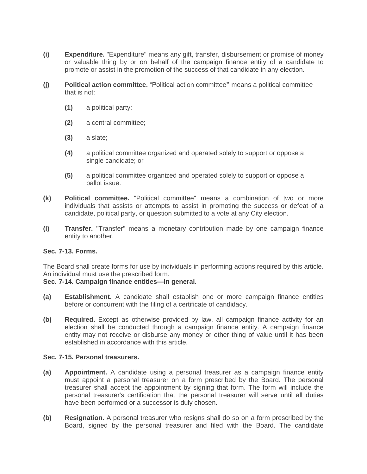- **(i) Expenditure.** "Expenditure" means any gift, transfer, disbursement or promise of money or valuable thing by or on behalf of the campaign finance entity of a candidate to promote or assist in the promotion of the success of that candidate in any election.
- **(j) Political action committee.** "Political action committee**"** means a political committee that is not:
	- **(1)** a political party;
	- **(2)** a central committee;
	- **(3)** a slate;
	- **(4)** a political committee organized and operated solely to support or oppose a single candidate; or
	- **(5)** a political committee organized and operated solely to support or oppose a ballot issue.
- **(k) Political committee.** "Political committee" means a combination of two or more individuals that assists or attempts to assist in promoting the success or defeat of a candidate, political party, or question submitted to a vote at any City election.
- **(l) Transfer.** "Transfer" means a monetary contribution made by one campaign finance entity to another.

#### **Sec. 7-13. Forms.**

The Board shall create forms for use by individuals in performing actions required by this article. An individual must use the prescribed form.

#### **Sec. 7-14. Campaign finance entities—In general.**

- **(a) Establishment.** A candidate shall establish one or more campaign finance entities before or concurrent with the filing of a certificate of candidacy.
- **(b) Required.** Except as otherwise provided by law, all campaign finance activity for an election shall be conducted through a campaign finance entity. A campaign finance entity may not receive or disburse any money or other thing of value until it has been established in accordance with this article.

#### **Sec. 7-15. Personal treasurers.**

- **(a) Appointment.** A candidate using a personal treasurer as a campaign finance entity must appoint a personal treasurer on a form prescribed by the Board. The personal treasurer shall accept the appointment by signing that form. The form will include the personal treasurer's certification that the personal treasurer will serve until all duties have been performed or a successor is duly chosen.
- **(b) Resignation.** A personal treasurer who resigns shall do so on a form prescribed by the Board, signed by the personal treasurer and filed with the Board. The candidate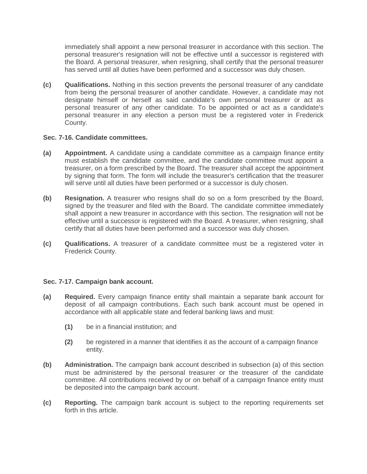immediately shall appoint a new personal treasurer in accordance with this section. The personal treasurer's resignation will not be effective until a successor is registered with the Board. A personal treasurer, when resigning, shall certify that the personal treasurer has served until all duties have been performed and a successor was duly chosen.

**(c) Qualifications.** Nothing in this section prevents the personal treasurer of any candidate from being the personal treasurer of another candidate. However, a candidate may not designate himself or herself as said candidate's own personal treasurer or act as personal treasurer of any other candidate. To be appointed or act as a candidate's personal treasurer in any election a person must be a registered voter in Frederick County.

# **Sec. 7-16. Candidate committees.**

- **(a) Appointment.** A candidate using a candidate committee as a campaign finance entity must establish the candidate committee, and the candidate committee must appoint a treasurer, on a form prescribed by the Board. The treasurer shall accept the appointment by signing that form. The form will include the treasurer's certification that the treasurer will serve until all duties have been performed or a successor is duly chosen.
- **(b) Resignation.** A treasurer who resigns shall do so on a form prescribed by the Board, signed by the treasurer and filed with the Board. The candidate committee immediately shall appoint a new treasurer in accordance with this section. The resignation will not be effective until a successor is registered with the Board. A treasurer, when resigning, shall certify that all duties have been performed and a successor was duly chosen.
- **(c) Qualifications.** A treasurer of a candidate committee must be a registered voter in Frederick County.

# **Sec. 7-17. Campaign bank account.**

- **(a) Required.** Every campaign finance entity shall maintain a separate bank account for deposit of all campaign contributions. Each such bank account must be opened in accordance with all applicable state and federal banking laws and must:
	- **(1)** be in a financial institution; and
	- **(2)** be registered in a manner that identifies it as the account of a campaign finance entity.
- **(b) Administration.** The campaign bank account described in subsection (a) of this section must be administered by the personal treasurer or the treasurer of the candidate committee. All contributions received by or on behalf of a campaign finance entity must be deposited into the campaign bank account.
- **(c) Reporting.** The campaign bank account is subject to the reporting requirements set forth in this article.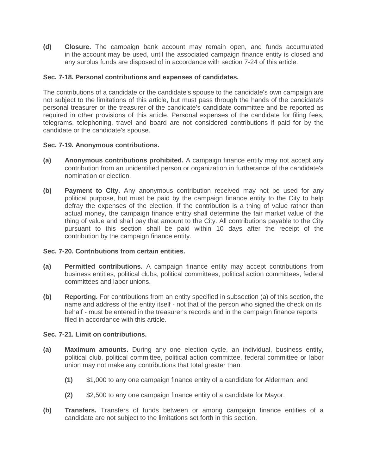**(d) Closure.** The campaign bank account may remain open, and funds accumulated in the account may be used, until the associated campaign finance entity is closed and any surplus funds are disposed of in accordance with section 7-24 of this article.

# **Sec. 7-18. Personal contributions and expenses of candidates.**

The contributions of a candidate or the candidate's spouse to the candidate's own campaign are not subject to the limitations of this article, but must pass through the hands of the candidate's personal treasurer or the treasurer of the candidate's candidate committee and be reported as required in other provisions of this article. Personal expenses of the candidate for filing fees, telegrams, telephoning, travel and board are not considered contributions if paid for by the candidate or the candidate's spouse.

#### **Sec. 7-19. Anonymous contributions.**

- **(a) Anonymous contributions prohibited.** A campaign finance entity may not accept any contribution from an unidentified person or organization in furtherance of the candidate's nomination or election.
- **(b) Payment to City.** Any anonymous contribution received may not be used for any political purpose, but must be paid by the campaign finance entity to the City to help defray the expenses of the election. If the contribution is a thing of value rather than actual money, the campaign finance entity shall determine the fair market value of the thing of value and shall pay that amount to the City. All contributions payable to the City pursuant to this section shall be paid within 10 days after the receipt of the contribution by the campaign finance entity.

#### **Sec. 7-20. Contributions from certain entities.**

- **(a) Permitted contributions.** A campaign finance entity may accept contributions from business entities, political clubs, political committees, political action committees, federal committees and labor unions.
- **(b) Reporting.** For contributions from an entity specified in subsection (a) of this section, the name and address of the entity itself - not that of the person who signed the check on its behalf - must be entered in the treasurer's records and in the campaign finance reports filed in accordance with this article.

#### **Sec. 7-21. Limit on contributions.**

- **(a) Maximum amounts.** During any one election cycle, an individual, business entity, political club, political committee, political action committee, federal committee or labor union may not make any contributions that total greater than:
	- **(1)** \$1,000 to any one campaign finance entity of a candidate for Alderman; and
	- **(2)** \$2,500 to any one campaign finance entity of a candidate for Mayor.
- **(b) Transfers.** Transfers of funds between or among campaign finance entities of a candidate are not subject to the limitations set forth in this section.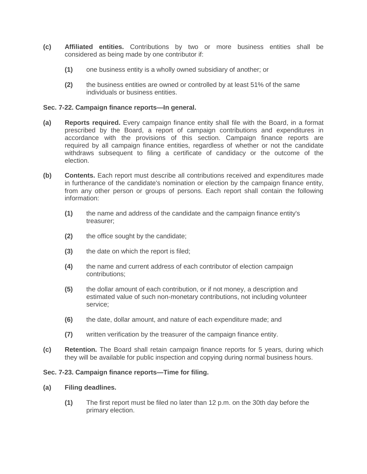- **(c) Affiliated entities.** Contributions by two or more business entities shall be considered as being made by one contributor if:
	- **(1)** one business entity is a wholly owned subsidiary of another; or
	- **(2)** the business entities are owned or controlled by at least 51% of the same individuals or business entities.

# **Sec. 7-22. Campaign finance reports—In general.**

- **(a) Reports required.** Every campaign finance entity shall file with the Board, in a format prescribed by the Board, a report of campaign contributions and expenditures in accordance with the provisions of this section. Campaign finance reports are required by all campaign finance entities, regardless of whether or not the candidate withdraws subsequent to filing a certificate of candidacy or the outcome of the election.
- **(b) Contents.** Each report must describe all contributions received and expenditures made in furtherance of the candidate's nomination or election by the campaign finance entity, from any other person or groups of persons. Each report shall contain the following information:
	- **(1)** the name and address of the candidate and the campaign finance entity's treasurer;
	- **(2)** the office sought by the candidate;
	- **(3)** the date on which the report is filed;
	- **(4)** the name and current address of each contributor of election campaign contributions;
	- **(5)** the dollar amount of each contribution, or if not money, a description and estimated value of such non-monetary contributions, not including volunteer service;
	- **(6)** the date, dollar amount, and nature of each expenditure made; and
	- **(7)** written verification by the treasurer of the campaign finance entity.
- **(c) Retention.** The Board shall retain campaign finance reports for 5 years, during which they will be available for public inspection and copying during normal business hours.

# **Sec. 7-23. Campaign finance reports—Time for filing.**

# **(a) Filing deadlines.**

**(1)** The first report must be filed no later than 12 p.m. on the 30th day before the primary election.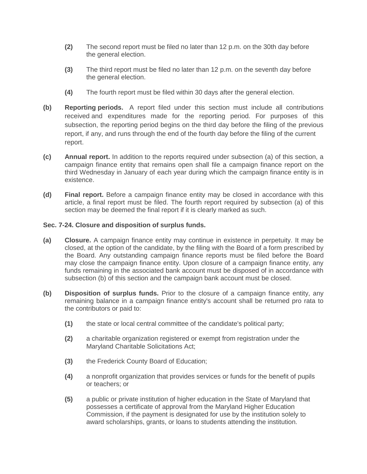- **(2)** The second report must be filed no later than 12 p.m. on the 30th day before the general election.
- **(3)** The third report must be filed no later than 12 p.m. on the seventh day before the general election.
- **(4)** The fourth report must be filed within 30 days after the general election.
- **(b) Reporting periods.** A report filed under this section must include all contributions received and expenditures made for the reporting period. For purposes of this subsection, the reporting period begins on the third day before the filing of the previous report, if any, and runs through the end of the fourth day before the filing of the current report.
- **(c) Annual report.** In addition to the reports required under subsection (a) of this section, a campaign finance entity that remains open shall file a campaign finance report on the third Wednesday in January of each year during which the campaign finance entity is in existence.
- **(d) Final report.** Before a campaign finance entity may be closed in accordance with this article, a final report must be filed. The fourth report required by subsection (a) of this section may be deemed the final report if it is clearly marked as such.

# **Sec. 7-24. Closure and disposition of surplus funds.**

- **(a) Closure.** A campaign finance entity may continue in existence in perpetuity. It may be closed, at the option of the candidate, by the filing with the Board of a form prescribed by the Board. Any outstanding campaign finance reports must be filed before the Board may close the campaign finance entity. Upon closure of a campaign finance entity, any funds remaining in the associated bank account must be disposed of in accordance with subsection (b) of this section and the campaign bank account must be closed.
- **(b) Disposition of surplus funds.** Prior to the closure of a campaign finance entity, any remaining balance in a campaign finance entity's account shall be returned pro rata to the contributors or paid to:
	- **(1)** the state or local central committee of the candidate's political party;
	- **(2)** a charitable organization registered or exempt from registration under the Maryland Charitable Solicitations Act;
	- **(3)** the Frederick County Board of Education;
	- **(4)** a nonprofit organization that provides services or funds for the benefit of pupils or teachers; or
	- **(5)** a public or private institution of higher education in the State of Maryland that possesses a certificate of approval from the Maryland Higher Education Commission, if the payment is designated for use by the institution solely to award scholarships, grants, or loans to students attending the institution.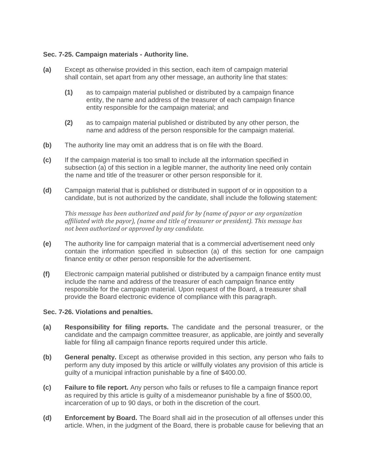# **Sec. 7-25. Campaign materials - Authority line.**

- **(a)** Except as otherwise provided in this section, each item of campaign material shall contain, set apart from any other message, an authority line that states:
	- **(1)** as to campaign material published or distributed by a campaign finance entity, the name and address of the treasurer of each campaign finance entity responsible for the campaign material; and
	- **(2)** as to campaign material published or distributed by any other person, the name and address of the person responsible for the campaign material.
- **(b)** The authority line may omit an address that is on file with the Board.
- **(c)** If the campaign material is too small to include all the information specified in subsection (a) of this section in a legible manner, the authority line need only contain the name and title of the treasurer or other person responsible for it.
- **(d)** Campaign material that is published or distributed in support of or in opposition to a candidate, but is not authorized by the candidate, shall include the following statement:

*This message has been authorized and paid for by (name of payor or any organization affiliated with the payor), (name and title of treasurer or president). This message has not been authorized or approved by any candidate.*

- **(e)** The authority line for campaign material that is a commercial advertisement need only contain the information specified in subsection (a) of this section for one campaign finance entity or other person responsible for the advertisement.
- **(f)** Electronic campaign material published or distributed by a campaign finance entity must include the name and address of the treasurer of each campaign finance entity responsible for the campaign material. Upon request of the Board, a treasurer shall provide the Board electronic evidence of compliance with this paragraph.

#### **Sec. 7-26. Violations and penalties.**

- **(a) Responsibility for filing reports.** The candidate and the personal treasurer, or the candidate and the campaign committee treasurer, as applicable, are jointly and severally liable for filing all campaign finance reports required under this article.
- **(b) General penalty.** Except as otherwise provided in this section, any person who fails to perform any duty imposed by this article or willfully violates any provision of this article is guilty of a municipal infraction punishable by a fine of \$400.00.
- **(c) Failure to file report.** Any person who fails or refuses to file a campaign finance report as required by this article is guilty of a misdemeanor punishable by a fine of \$500.00, incarceration of up to 90 days, or both in the discretion of the court.
- **(d) Enforcement by Board.** The Board shall aid in the prosecution of all offenses under this article. When, in the judgment of the Board, there is probable cause for believing that an